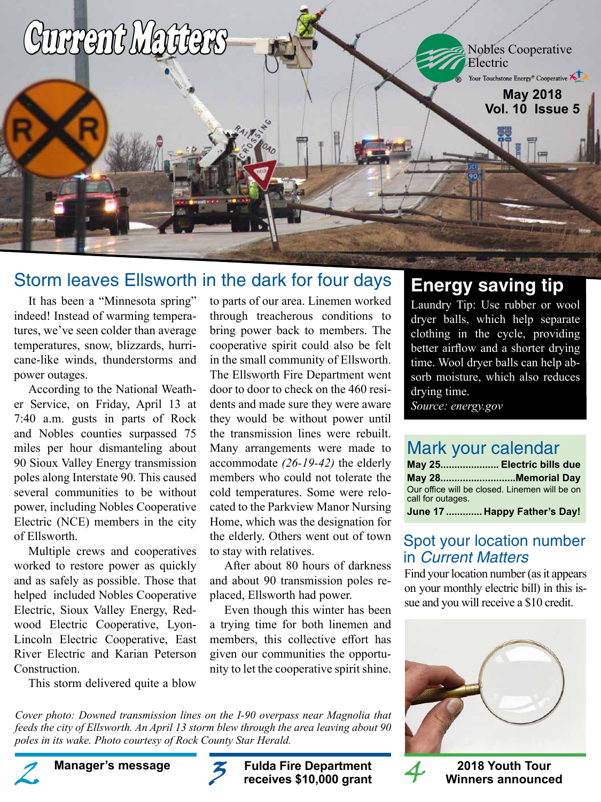

### Storm leaves Ellsworth in the dark for four days

It has been a "Minnesota spring" indeed! Instead of warming temperatures, we've seen colder than average temperatures, snow, blizzards, hurricane-like winds, thunderstorms and power outages.

According to the National Weather Service, on Friday, April 13 at 7:40 a.m. gusts in parts of Rock and Nobles counties surpassed 75 miles per hour dismanteling about 90 Sioux Valley Energy transmission poles along Interstate 90. This caused several communities to be without power, including Nobles Cooperative Electric (NCE) members in the city of Ellsworth.

Multiple crews and cooperatives worked to restore power as quickly and as safely as possible. Those that helped included Nobles Cooperative Electric, Sioux Valley Energy, Redwood Electric Cooperative, Lyon-Lincoln Electric Cooperative, East River Electric and Karian Peterson Construction.

This storm delivered quite a blow

to parts of our area. Linemen worked through treacherous conditions to bring power back to members. The cooperative spirit could also be felt in the small community of Ellsworth. The Ellsworth Fire Department went door to door to check on the 460 residents and made sure they were aware they would be without power until the transmission lines were rebuilt. Many arrangements were made to accommodate *(26-19-42)* the elderly members who could not tolerate the cold temperatures. Some were relocated to the Parkview Manor Nursing Home, which was the designation for the elderly. Others went out of town to stay with relatives.

After about 80 hours of darkness and about 90 transmission poles replaced, Ellsworth had power.

Even though this winter has been a trying time for both linemen and members, this collective effort has given our communities the opportunity to let the cooperative spirit shine.

*Cover photo: Downed transmission lines on the I-90 overpass near Magnolia that feeds the city of Ellsworth. An April 13 storm blew through the area leaving about 90 poles in its wake. Photo courtesy of Rock County Star Herald.*

**Fulda Fire Department Manager's message 2018 Youth Tour receives \$10,000 grant** Manager's message **2** Fulda Fire Department 4

# **Energy saving tip**

Laundry Tip: Use rubber or wool dryer balls, which help separate clothing in the cycle, providing better airflow and a shorter drying time. Wool dryer balls can help absorb moisture, which also reduces drying time.

*Source: energy.gov*

### Mark your calendar

|                   | May 25 Electric bills due                     |
|-------------------|-----------------------------------------------|
|                   | May 28Memorial Day                            |
| call for outages. | Our office will be closed. Linemen will be on |
|                   | June 17  Happy Father's Day!                  |

### Spot your location number in Current Matters

Find your location number (as it appears on your monthly electric bill) in this issue and you will receive a \$10 credit.





**Winners announced**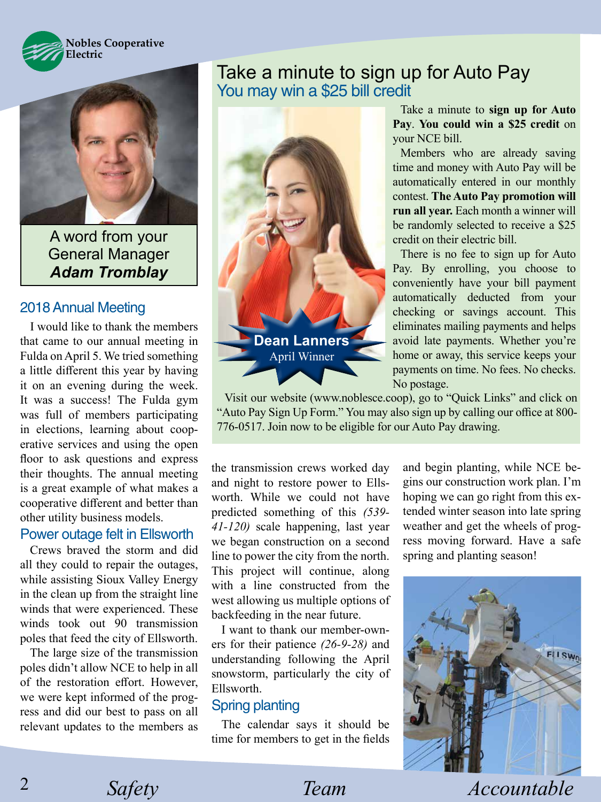



A word from your General Manager *Adam Tromblay*

#### 2018 Annual Meeting

I would like to thank the members that came to our annual meeting in Fulda on April 5. We tried something a little different this year by having it on an evening during the week. It was a success! The Fulda gym was full of members participating in elections, learning about cooperative services and using the open floor to ask questions and express their thoughts. The annual meeting is a great example of what makes a cooperative different and better than other utility business models.

#### Power outage felt in Ellsworth

Crews braved the storm and did all they could to repair the outages, while assisting Sioux Valley Energy in the clean up from the straight line winds that were experienced. These winds took out 90 transmission poles that feed the city of Ellsworth.

The large size of the transmission poles didn't allow NCE to help in all of the restoration effort. However, we were kept informed of the progress and did our best to pass on all relevant updates to the members as

### Take a minute to sign up for Auto Pay You may win a \$25 bill credit



Take a minute to **sign up for Auto Pay**. **You could win a \$25 credit** on your NCE bill.

Members who are already saving time and money with Auto Pay will be automatically entered in our monthly contest. **The Auto Pay promotion will run all year.** Each month a winner will be randomly selected to receive a \$25 credit on their electric bill.

There is no fee to sign up for Auto Pay. By enrolling, you choose to conveniently have your bill payment automatically deducted from your checking or savings account. This eliminates mailing payments and helps avoid late payments. Whether you're home or away, this service keeps your payments on time. No fees. No checks. No postage.

Visit our website (www.noblesce.coop), go to "Quick Links" and click on "Auto Pay Sign Up Form." You may also sign up by calling our office at 800- 776-0517. Join now to be eligible for our Auto Pay drawing.

the transmission crews worked day and night to restore power to Ellsworth. While we could not have predicted something of this *(539- 41-120)* scale happening, last year we began construction on a second line to power the city from the north. This project will continue, along with a line constructed from the west allowing us multiple options of backfeeding in the near future.

I want to thank our member-owners for their patience *(26-9-28)* and understanding following the April snowstorm, particularly the city of Ellsworth.

#### Spring planting

The calendar says it should be time for members to get in the fields and begin planting, while NCE begins our construction work plan. I'm hoping we can go right from this extended winter season into late spring weather and get the wheels of progress moving forward. Have a safe spring and planting season!



*Safety Team Accountable* 

2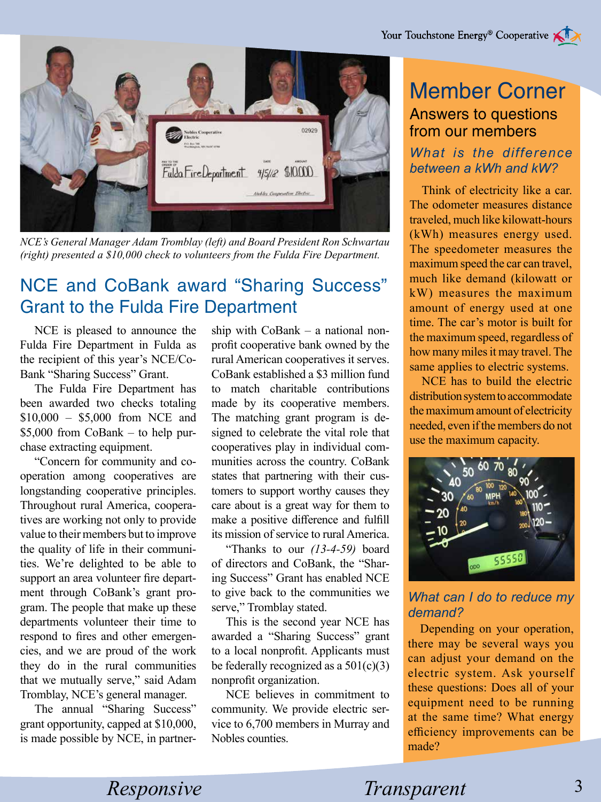

*NCE's General Manager Adam Tromblay (left) and Board President Ron Schwartau (right) presented a \$10,000 check to volunteers from the Fulda Fire Department.*

# NCE and CoBank award "Sharing Success" Grant to the Fulda Fire Department

NCE is pleased to announce the Fulda Fire Department in Fulda as the recipient of this year's NCE/Co-Bank "Sharing Success" Grant.

The Fulda Fire Department has been awarded two checks totaling \$10,000 – \$5,000 from NCE and \$5,000 from CoBank – to help purchase extracting equipment.

"Concern for community and cooperation among cooperatives are longstanding cooperative principles. Throughout rural America, cooperatives are working not only to provide value to their members but to improve the quality of life in their communities. We're delighted to be able to support an area volunteer fire department through CoBank's grant program. The people that make up these departments volunteer their time to respond to fires and other emergencies, and we are proud of the work they do in the rural communities that we mutually serve," said Adam Tromblay, NCE's general manager.

The annual "Sharing Success" grant opportunity, capped at \$10,000, is made possible by NCE, in partnership with CoBank – a national nonprofit cooperative bank owned by the rural American cooperatives it serves. CoBank established a \$3 million fund to match charitable contributions made by its cooperative members. The matching grant program is designed to celebrate the vital role that cooperatives play in individual communities across the country. CoBank states that partnering with their customers to support worthy causes they care about is a great way for them to make a positive difference and fulfill its mission of service to rural America.

"Thanks to our *(13-4-59)* board of directors and CoBank, the "Sharing Success" Grant has enabled NCE to give back to the communities we serve," Tromblay stated.

This is the second year NCE has awarded a "Sharing Success" grant to a local nonprofit. Applicants must be federally recognized as a  $501(c)(3)$ nonprofit organization.

NCE believes in commitment to community. We provide electric service to 6,700 members in Murray and Nobles counties.

## Member Corner Answers to questions from our members

#### *What is the difference between a kWh and kW?*

Think of electricity like a car. The odometer measures distance traveled, much like kilowatt-hours (kWh) measures energy used. The speedometer measures the maximum speed the car can travel, much like demand (kilowatt or kW) measures the maximum amount of energy used at one time. The car's motor is built for the maximum speed, regardless of how many miles it may travel. The same applies to electric systems.

NCE has to build the electric distribution system to accommodate the maximum amount of electricity needed, even if the members do not use the maximum capacity.



*What can I do to reduce my demand?*

Depending on your operation, there may be several ways you can adjust your demand on the electric system. Ask yourself these questions: Does all of your equipment need to be running at the same time? What energy efficiency improvements can be made?